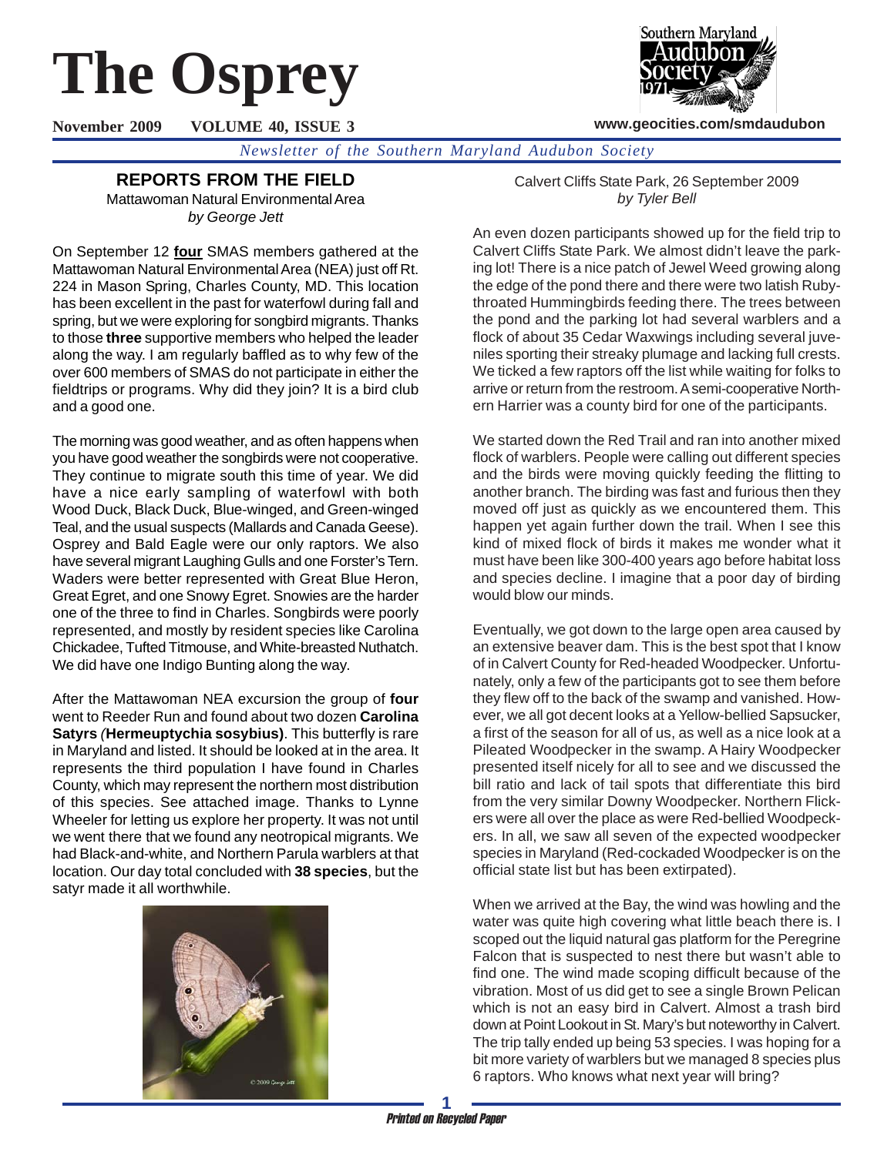# **The Osprey**

**November 2009 VOLUME 40, ISSUE 3**



**www.geocities.com/smdaudubon**

*Newsletter of the Southern Maryland Audubon Society*

# **REPORTS FROM THE FIELD**

Mattawoman Natural Environmental Area *by George Jett*

On September 12 **four** SMAS members gathered at the Mattawoman Natural Environmental Area (NEA) just off Rt. 224 in Mason Spring, Charles County, MD. This location has been excellent in the past for waterfowl during fall and spring, but we were exploring for songbird migrants. Thanks to those **three** supportive members who helped the leader along the way. I am regularly baffled as to why few of the over 600 members of SMAS do not participate in either the fieldtrips or programs. Why did they join? It is a bird club and a good one.

The morning was good weather, and as often happens when you have good weather the songbirds were not cooperative. They continue to migrate south this time of year. We did have a nice early sampling of waterfowl with both Wood Duck, Black Duck, Blue-winged, and Green-winged Teal, and the usual suspects (Mallards and Canada Geese). Osprey and Bald Eagle were our only raptors. We also have several migrant Laughing Gulls and one Forster's Tern. Waders were better represented with Great Blue Heron, Great Egret, and one Snowy Egret. Snowies are the harder one of the three to find in Charles. Songbirds were poorly represented, and mostly by resident species like Carolina Chickadee, Tufted Titmouse, and White-breasted Nuthatch. We did have one Indigo Bunting along the way.

After the Mattawoman NEA excursion the group of **four** went to Reeder Run and found about two dozen **Carolina Satyrs** *(***Hermeuptychia sosybius)**. This butterfly is rare in Maryland and listed. It should be looked at in the area. It represents the third population I have found in Charles County, which may represent the northern most distribution of this species. See attached image. Thanks to Lynne Wheeler for letting us explore her property. It was not until we went there that we found any neotropical migrants. We had Black-and-white, and Northern Parula warblers at that location. Our day total concluded with **38 species**, but the satyr made it all worthwhile.



Calvert Cliffs State Park, 26 September 2009 *by Tyler Bell*

An even dozen participants showed up for the field trip to Calvert Cliffs State Park. We almost didn't leave the parking lot! There is a nice patch of Jewel Weed growing along the edge of the pond there and there were two latish Rubythroated Hummingbirds feeding there. The trees between the pond and the parking lot had several warblers and a flock of about 35 Cedar Waxwings including several juveniles sporting their streaky plumage and lacking full crests. We ticked a few raptors off the list while waiting for folks to arrive or return from the restroom. A semi-cooperative Northern Harrier was a county bird for one of the participants.

We started down the Red Trail and ran into another mixed flock of warblers. People were calling out different species and the birds were moving quickly feeding the flitting to another branch. The birding was fast and furious then they moved off just as quickly as we encountered them. This happen yet again further down the trail. When I see this kind of mixed flock of birds it makes me wonder what it must have been like 300-400 years ago before habitat loss and species decline. I imagine that a poor day of birding would blow our minds.

Eventually, we got down to the large open area caused by an extensive beaver dam. This is the best spot that I know of in Calvert County for Red-headed Woodpecker. Unfortunately, only a few of the participants got to see them before they flew off to the back of the swamp and vanished. However, we all got decent looks at a Yellow-bellied Sapsucker, a first of the season for all of us, as well as a nice look at a Pileated Woodpecker in the swamp. A Hairy Woodpecker presented itself nicely for all to see and we discussed the bill ratio and lack of tail spots that differentiate this bird from the very similar Downy Woodpecker. Northern Flickers were all over the place as were Red-bellied Woodpeckers. In all, we saw all seven of the expected woodpecker species in Maryland (Red-cockaded Woodpecker is on the official state list but has been extirpated).

When we arrived at the Bay, the wind was howling and the water was quite high covering what little beach there is. I scoped out the liquid natural gas platform for the Peregrine Falcon that is suspected to nest there but wasn't able to find one. The wind made scoping difficult because of the vibration. Most of us did get to see a single Brown Pelican which is not an easy bird in Calvert. Almost a trash bird down at Point Lookout in St. Mary's but noteworthy in Calvert. The trip tally ended up being 53 species. I was hoping for a bit more variety of warblers but we managed 8 species plus 6 raptors. Who knows what next year will bring?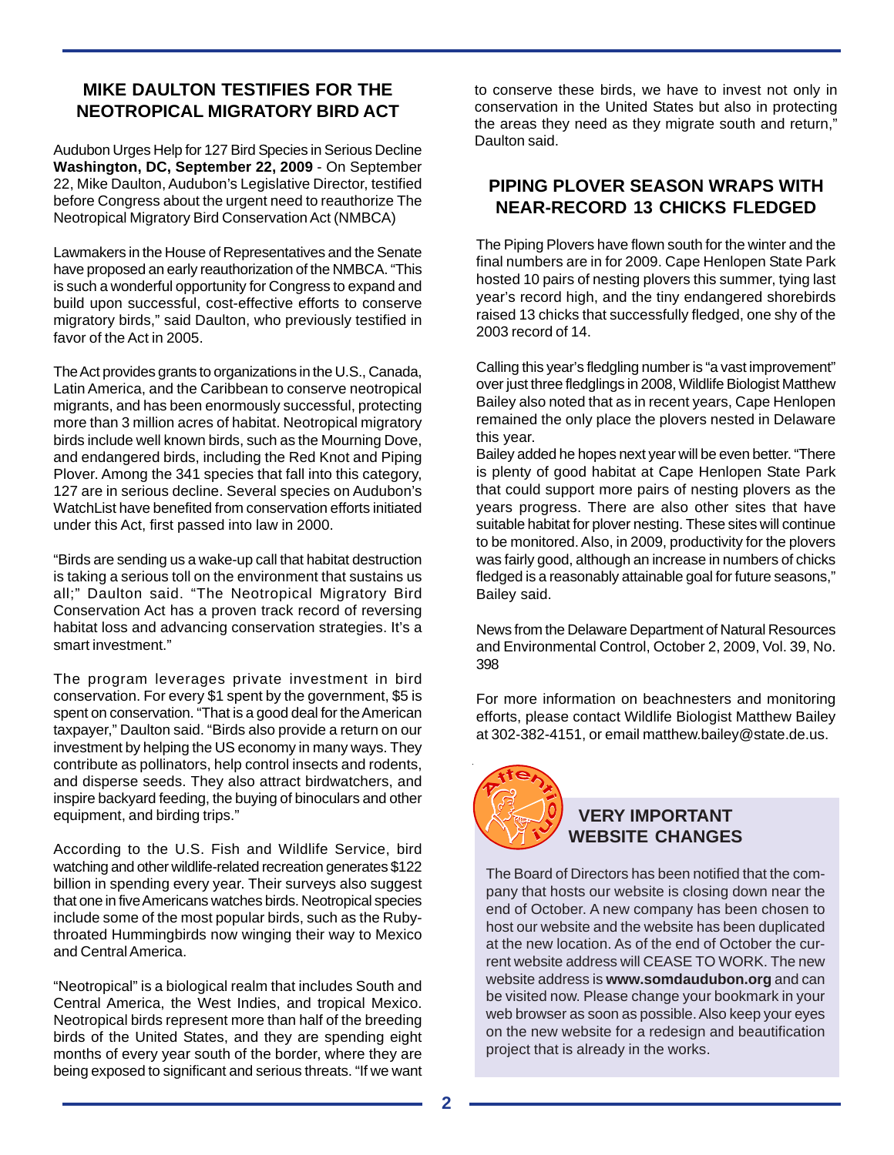## **MIKE DAULTON TESTIFIES FOR THE NEOTROPICAL MIGRATORY BIRD ACT**

Audubon Urges Help for 127 Bird Species in Serious Decline **Washington, DC, September 22, 2009** - On September 22, Mike Daulton, Audubon's Legislative Director, testified before Congress about the urgent need to reauthorize The Neotropical Migratory Bird Conservation Act (NMBCA)

Lawmakers in the House of Representatives and the Senate have proposed an early reauthorization of the NMBCA. "This is such a wonderful opportunity for Congress to expand and build upon successful, cost-effective efforts to conserve migratory birds," said Daulton, who previously testified in favor of the Act in 2005.

The Act provides grants to organizations in the U.S., Canada, Latin America, and the Caribbean to conserve neotropical migrants, and has been enormously successful, protecting more than 3 million acres of habitat. Neotropical migratory birds include well known birds, such as the Mourning Dove, and endangered birds, including the Red Knot and Piping Plover. Among the 341 species that fall into this category, 127 are in serious decline. Several species on Audubon's WatchList have benefited from conservation efforts initiated under this Act, first passed into law in 2000.

"Birds are sending us a wake-up call that habitat destruction is taking a serious toll on the environment that sustains us all;" Daulton said. "The Neotropical Migratory Bird Conservation Act has a proven track record of reversing habitat loss and advancing conservation strategies. It's a smart investment."

The program leverages private investment in bird conservation. For every \$1 spent by the government, \$5 is spent on conservation. "That is a good deal for the American taxpayer," Daulton said. "Birds also provide a return on our investment by helping the US economy in many ways. They contribute as pollinators, help control insects and rodents, and disperse seeds. They also attract birdwatchers, and inspire backyard feeding, the buying of binoculars and other equipment, and birding trips."

According to the U.S. Fish and Wildlife Service, bird watching and other wildlife-related recreation generates \$122 billion in spending every year. Their surveys also suggest that one in five Americans watches birds. Neotropical species include some of the most popular birds, such as the Rubythroated Hummingbirds now winging their way to Mexico and Central America.

"Neotropical" is a biological realm that includes South and Central America, the West Indies, and tropical Mexico. Neotropical birds represent more than half of the breeding birds of the United States, and they are spending eight months of every year south of the border, where they are being exposed to significant and serious threats. "If we want

to conserve these birds, we have to invest not only in conservation in the United States but also in protecting the areas they need as they migrate south and return," Daulton said.

## **PIPING PLOVER SEASON WRAPS WITH NEAR-RECORD 13 CHICKS FLEDGED**

The Piping Plovers have flown south for the winter and the final numbers are in for 2009. Cape Henlopen State Park hosted 10 pairs of nesting plovers this summer, tying last year's record high, and the tiny endangered shorebirds raised 13 chicks that successfully fledged, one shy of the 2003 record of 14.

Calling this year's fledgling number is "a vast improvement" over just three fledglings in 2008, Wildlife Biologist Matthew Bailey also noted that as in recent years, Cape Henlopen remained the only place the plovers nested in Delaware this year.

Bailey added he hopes next year will be even better. "There is plenty of good habitat at Cape Henlopen State Park that could support more pairs of nesting plovers as the years progress. There are also other sites that have suitable habitat for plover nesting. These sites will continue to be monitored. Also, in 2009, productivity for the plovers was fairly good, although an increase in numbers of chicks fledged is a reasonably attainable goal for future seasons," Bailey said.

News from the Delaware Department of Natural Resources and Environmental Control, October 2, 2009, Vol. 39, No. 398

For more information on beachnesters and monitoring efforts, please contact Wildlife Biologist Matthew Bailey at 302-382-4151, or email matthew.bailey@state.de.us.



## **VERY IMPORTANT WEBSITE CHANGES**

The Board of Directors has been notified that the company that hosts our website is closing down near the end of October. A new company has been chosen to host our website and the website has been duplicated at the new location. As of the end of October the current website address will CEASE TO WORK. The new website address is **www.somdaudubon.org** and can be visited now. Please change your bookmark in your web browser as soon as possible. Also keep your eyes on the new website for a redesign and beautification project that is already in the works.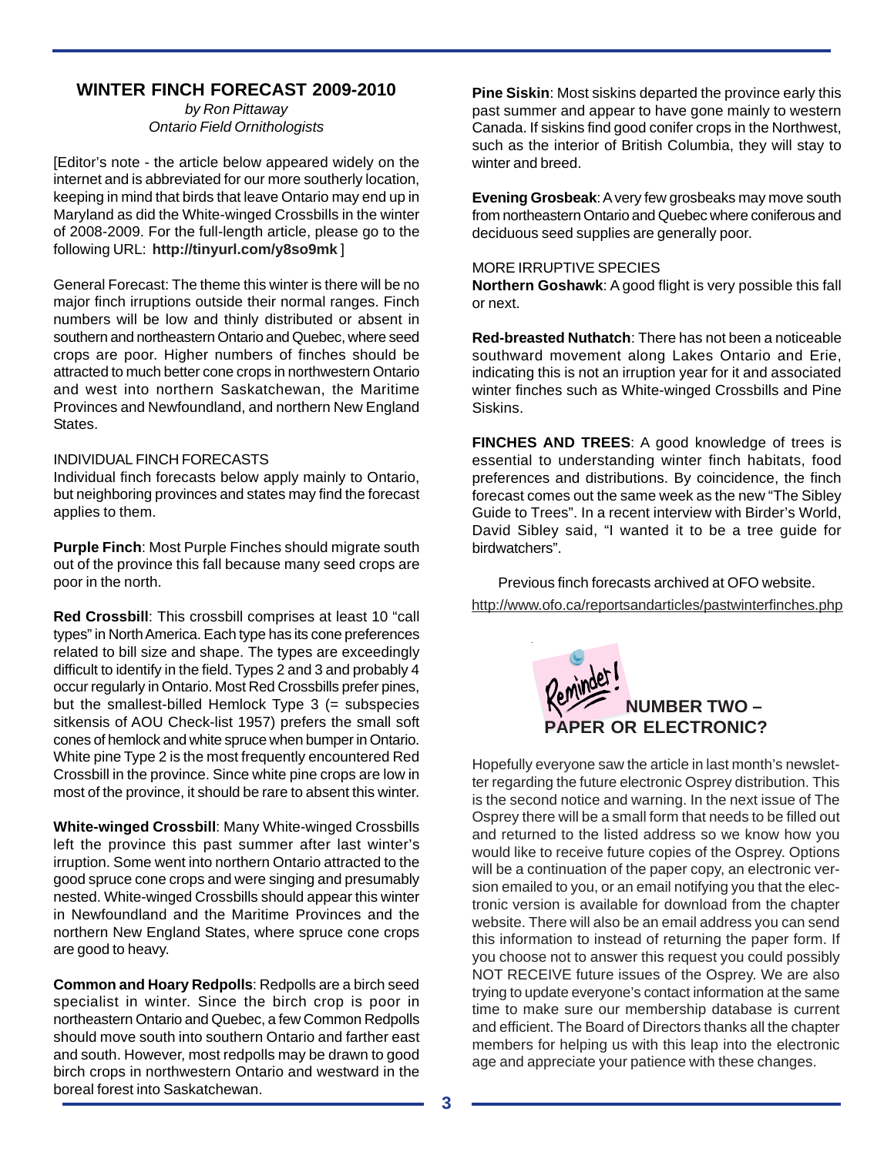### **WINTER FINCH FORECAST 2009-2010**

*by Ron Pittaway Ontario Field Ornithologists*

[Editor's note - the article below appeared widely on the internet and is abbreviated for our more southerly location, keeping in mind that birds that leave Ontario may end up in Maryland as did the White-winged Crossbills in the winter of 2008-2009. For the full-length article, please go to the following URL: **http://tinyurl.com/y8so9mk** ]

General Forecast: The theme this winter is there will be no major finch irruptions outside their normal ranges. Finch numbers will be low and thinly distributed or absent in southern and northeastern Ontario and Quebec, where seed crops are poor. Higher numbers of finches should be attracted to much better cone crops in northwestern Ontario and west into northern Saskatchewan, the Maritime Provinces and Newfoundland, and northern New England States.

#### INDIVIDUAL FINCH FORECASTS

Individual finch forecasts below apply mainly to Ontario, but neighboring provinces and states may find the forecast applies to them.

**Purple Finch**: Most Purple Finches should migrate south out of the province this fall because many seed crops are poor in the north.

**Red Crossbill**: This crossbill comprises at least 10 "call types" in North America. Each type has its cone preferences related to bill size and shape. The types are exceedingly difficult to identify in the field. Types 2 and 3 and probably 4 occur regularly in Ontario. Most Red Crossbills prefer pines, but the smallest-billed Hemlock Type  $3$  (= subspecies sitkensis of AOU Check-list 1957) prefers the small soft cones of hemlock and white spruce when bumper in Ontario. White pine Type 2 is the most frequently encountered Red Crossbill in the province. Since white pine crops are low in most of the province, it should be rare to absent this winter.

**White-winged Crossbill**: Many White-winged Crossbills left the province this past summer after last winter's irruption. Some went into northern Ontario attracted to the good spruce cone crops and were singing and presumably nested. White-winged Crossbills should appear this winter in Newfoundland and the Maritime Provinces and the northern New England States, where spruce cone crops are good to heavy.

**Common and Hoary Redpolls**: Redpolls are a birch seed specialist in winter. Since the birch crop is poor in northeastern Ontario and Quebec, a few Common Redpolls should move south into southern Ontario and farther east and south. However, most redpolls may be drawn to good birch crops in northwestern Ontario and westward in the boreal forest into Saskatchewan.

**Pine Siskin**: Most siskins departed the province early this past summer and appear to have gone mainly to western Canada. If siskins find good conifer crops in the Northwest, such as the interior of British Columbia, they will stay to winter and breed.

**Evening Grosbeak**: A very few grosbeaks may move south from northeastern Ontario and Quebec where coniferous and deciduous seed supplies are generally poor.

#### MORE IRRUPTIVE SPECIES

**Northern Goshawk**: A good flight is very possible this fall or next.

**Red-breasted Nuthatch**: There has not been a noticeable southward movement along Lakes Ontario and Erie, indicating this is not an irruption year for it and associated winter finches such as White-winged Crossbills and Pine Siskins.

**FINCHES AND TREES:** A good knowledge of trees is essential to understanding winter finch habitats, food preferences and distributions. By coincidence, the finch forecast comes out the same week as the new "The Sibley Guide to Trees". In a recent interview with Birder's World, David Sibley said, "I wanted it to be a tree guide for birdwatchers".

Previous finch forecasts archived at OFO website. http://www.ofo.ca/reportsandarticles/pastwinterfinches.php



Hopefully everyone saw the article in last month's newsletter regarding the future electronic Osprey distribution. This is the second notice and warning. In the next issue of The Osprey there will be a small form that needs to be filled out and returned to the listed address so we know how you would like to receive future copies of the Osprey. Options will be a continuation of the paper copy, an electronic version emailed to you, or an email notifying you that the electronic version is available for download from the chapter website. There will also be an email address you can send this information to instead of returning the paper form. If you choose not to answer this request you could possibly NOT RECEIVE future issues of the Osprey. We are also trying to update everyone's contact information at the same time to make sure our membership database is current and efficient. The Board of Directors thanks all the chapter members for helping us with this leap into the electronic age and appreciate your patience with these changes.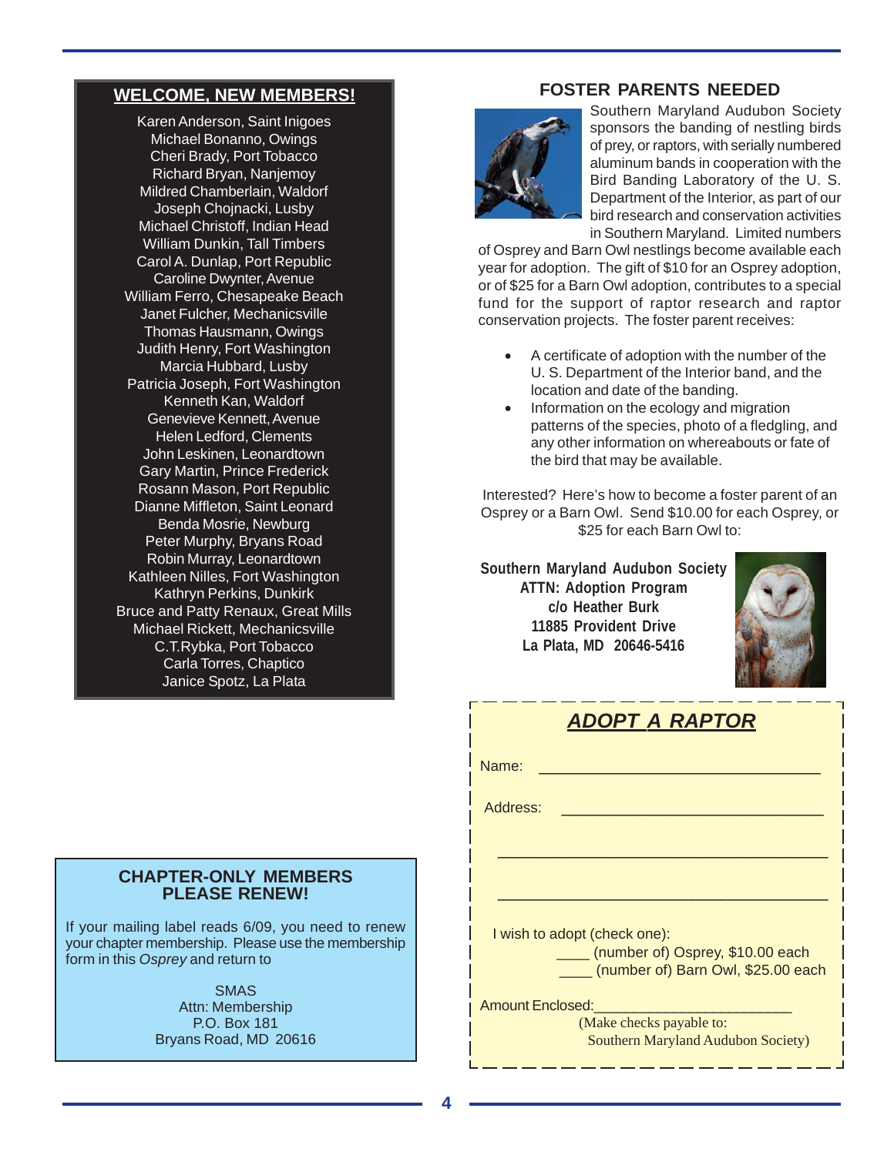## **WELCOME, NEW MEMBERS!**

Karen Anderson, Saint Inigoes Michael Bonanno, Owings Cheri Brady, Port Tobacco Richard Bryan, Nanjemoy Mildred Chamberlain, Waldorf Joseph Chojnacki, Lusby Michael Christoff, Indian Head William Dunkin, Tall Timbers Carol A. Dunlap, Port Republic Caroline Dwynter, Avenue William Ferro, Chesapeake Beach Janet Fulcher, Mechanicsville Thomas Hausmann, Owings Judith Henry, Fort Washington Marcia Hubbard, Lusby Patricia Joseph, Fort Washington Kenneth Kan, Waldorf Genevieve Kennett, Avenue Helen Ledford, Clements John Leskinen, Leonardtown Gary Martin, Prince Frederick Rosann Mason, Port Republic Dianne Miffleton, Saint Leonard Benda Mosrie, Newburg Peter Murphy, Bryans Road Robin Murray, Leonardtown Kathleen Nilles, Fort Washington Kathryn Perkins, Dunkirk Bruce and Patty Renaux, Great Mills Michael Rickett, Mechanicsville C.T.Rybka, Port Tobacco Carla Torres, Chaptico Janice Spotz, La Plata

# **FOSTER PARENTS NEEDED**



Southern Maryland Audubon Society sponsors the banding of nestling birds of prey, or raptors, with serially numbered aluminum bands in cooperation with the Bird Banding Laboratory of the U. S. Department of the Interior, as part of our bird research and conservation activities in Southern Maryland. Limited numbers

of Osprey and Barn Owl nestlings become available each year for adoption. The gift of \$10 for an Osprey adoption, or of \$25 for a Barn Owl adoption, contributes to a special fund for the support of raptor research and raptor conservation projects. The foster parent receives:

- A certificate of adoption with the number of the U. S. Department of the Interior band, and the location and date of the banding.
- Information on the ecology and migration patterns of the species, photo of a fledgling, and any other information on whereabouts or fate of the bird that may be available.

Interested? Here's how to become a foster parent of an Osprey or a Barn Owl. Send \$10.00 for each Osprey, or \$25 for each Barn Owl to:

**Southern Maryland Audubon Society ATTN: Adoption Program c/o Heather Burk 11885 Provident Drive La Plata, MD 20646-5416**



| <b>ADOPT A RAPTOR</b> |
|-----------------------|
|                       |

| Name:                                                                                                  |
|--------------------------------------------------------------------------------------------------------|
| Address:                                                                                               |
|                                                                                                        |
| I wish to adopt (check one):<br>(number of) Osprey, \$10.00 each<br>(number of) Barn Owl, \$25.00 each |
| <b>Amount Enclosed:</b>                                                                                |
| (Make checks payable to:                                                                               |
| Southern Maryland Audubon Society)                                                                     |

#### **CHAPTER-ONLY MEMBERS PLEASE RENEW!**

If your mailing label reads 6/09, you need to renew your chapter membership. Please use the membership form in this *Osprey* and return to

> SMAS Attn: Membership P.O. Box 181 Bryans Road, MD 20616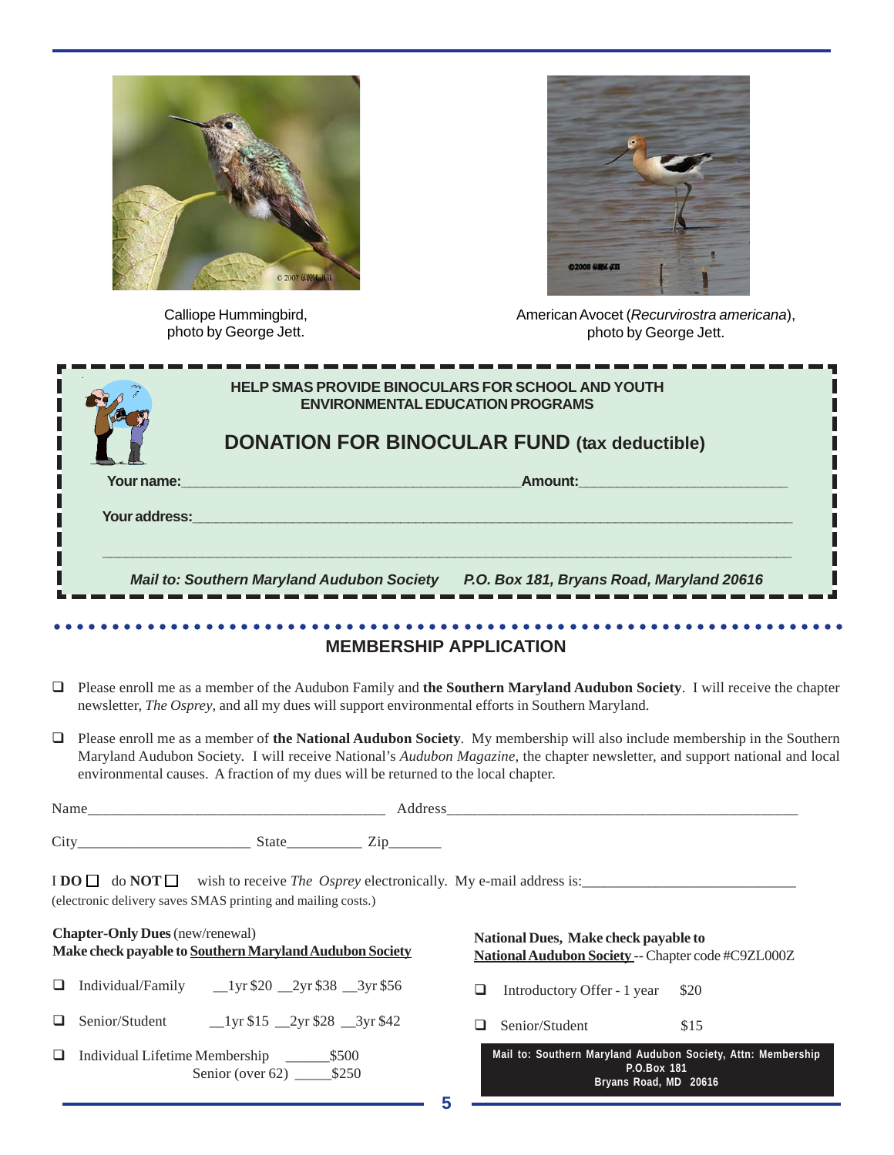

Calliope Hummingbird, photo by George Jett.



American Avocet (*Recurvirostra americana*), photo by George Jett.

|               | <b>ENVIRONMENTAL EDUCATION PROGRAMS</b>                                                        |
|---------------|------------------------------------------------------------------------------------------------|
|               | <b>DONATION FOR BINOCULAR FUND (tax deductible)</b>                                            |
| Your name:    | Amount:                                                                                        |
| Your address: |                                                                                                |
|               | P.O. Box 181, Bryans Road, Maryland 20616<br><b>Mail to: Southern Maryland Audubon Society</b> |

#### **MEMBERSHIP APPLICATION**

- Please enroll me as a member of the Audubon Family and **the Southern Maryland Audubon Society**. I will receive the chapter newsletter, *The Osprey*, and all my dues will support environmental efforts in Southern Maryland.
- Please enroll me as a member of **the National Audubon Society**. My membership will also include membership in the Southern Maryland Audubon Society. I will receive National's *Audubon Magazine*, the chapter newsletter, and support national and local environmental causes. A fraction of my dues will be returned to the local chapter.

| $N_{\alpha m\alpha}$<br>гуанн<br>________<br>__________ |       | ______                      |
|---------------------------------------------------------|-------|-----------------------------|
|                                                         |       |                             |
| Cit<br>________________________                         | State | $\overline{ }$<br>_________ |

 $\text{I} \text{DO} \square \text{ do } \text{NOT} \square \text{ wish to receive } \text{The } \text{Osprey}$  electronically. My e-mail address is: (electronic delivery saves SMAS printing and mailing costs.)

|    | <b>Chapter-Only Dues</b> (new/renewal)<br>Make check payable to Southern Maryland Audubon Society                                                                                                                                                                                                                                                                                       | National Dues, Make check payable to<br>National Audubon Society -- Chapter code #C9ZL000Z           |  |  |
|----|-----------------------------------------------------------------------------------------------------------------------------------------------------------------------------------------------------------------------------------------------------------------------------------------------------------------------------------------------------------------------------------------|------------------------------------------------------------------------------------------------------|--|--|
| ⊔. | Individual/Family<br>$1 \text{yr} $20$ $2 \text{yr} $38$ $3 \text{yr} $56$                                                                                                                                                                                                                                                                                                              | Introductory Offer - 1 year \$20<br>ப                                                                |  |  |
|    | Senior/Student<br>$\frac{1}{\sqrt{5}}$ 15 $\frac{2}{\sqrt{5}}$ $\frac{2}{\sqrt{5}}$ $\frac{1}{\sqrt{5}}$ $\frac{1}{\sqrt{5}}$ $\frac{1}{\sqrt{5}}$ $\frac{1}{\sqrt{5}}$ $\frac{1}{\sqrt{5}}$ $\frac{1}{\sqrt{5}}$ $\frac{1}{\sqrt{5}}$ $\frac{1}{\sqrt{5}}$ $\frac{1}{\sqrt{5}}$ $\frac{1}{\sqrt{5}}$ $\frac{1}{\sqrt{5}}$ $\frac{1}{\sqrt{5}}$ $\frac{1}{\sqrt{5}}$ $\frac{1}{\sqrt{5$ | Senior/Student<br>\$15                                                                               |  |  |
| ⊔  | Individual Lifetime Membership<br>\$500<br>Senior (over $62$ ) \$250                                                                                                                                                                                                                                                                                                                    | Mail to: Southern Maryland Audubon Society, Attn: Membership<br>P.O.Box 181<br>Bryans Road, MD 20616 |  |  |